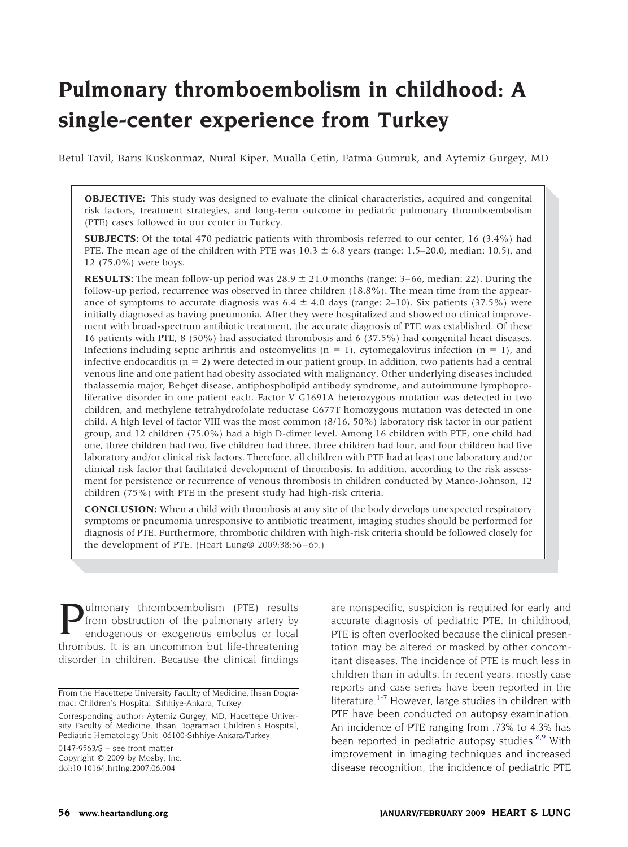# **Pulmonary thromboembolism in childhood: A single-center experience from Turkey**

Betul Tavil, Barıs Kuskonmaz, Nural Kiper, Mualla Cetin, Fatma Gumruk, and Aytemiz Gurgey, MD

**OBJECTIVE:** This study was designed to evaluate the clinical characteristics, acquired and congenital risk factors, treatment strategies, and long-term outcome in pediatric pulmonary thromboembolism (PTE) cases followed in our center in Turkey.

**SUBJECTS:** Of the total 470 pediatric patients with thrombosis referred to our center, 16 (3.4%) had PTE. The mean age of the children with PTE was  $10.3 \pm 6.8$  years (range: 1.5–20.0, median: 10.5), and 12 (75.0%) were boys.

**RESULTS:** The mean follow-up period was  $28.9 \pm 21.0$  months (range: 3–66, median: 22). During the follow-up period, recurrence was observed in three children (18.8%). The mean time from the appearance of symptoms to accurate diagnosis was  $6.4 \pm 4.0$  days (range: 2–10). Six patients (37.5%) were initially diagnosed as having pneumonia. After they were hospitalized and showed no clinical improvement with broad-spectrum antibiotic treatment, the accurate diagnosis of PTE was established. Of these 16 patients with PTE, 8 (50%) had associated thrombosis and 6 (37.5%) had congenital heart diseases. Infections including septic arthritis and osteomyelitis ( $n = 1$ ), cytomegalovirus infection ( $n = 1$ ), and infective endocarditis  $(n = 2)$  were detected in our patient group. In addition, two patients had a central venous line and one patient had obesity associated with malignancy. Other underlying diseases included thalassemia major, Behçet disease, antiphospholipid antibody syndrome, and autoimmune lymphoproliferative disorder in one patient each. Factor V G1691A heterozygous mutation was detected in two children, and methylene tetrahydrofolate reductase C677T homozygous mutation was detected in one child. A high level of factor VIII was the most common (8/16, 50%) laboratory risk factor in our patient group, and 12 children (75.0%) had a high D-dimer level. Among 16 children with PTE, one child had one, three children had two, five children had three, three children had four, and four children had five laboratory and/or clinical risk factors. Therefore, all children with PTE had at least one laboratory and/or clinical risk factor that facilitated development of thrombosis. In addition, according to the risk assessment for persistence or recurrence of venous thrombosis in children conducted by Manco-Johnson, 12 children (75%) with PTE in the present study had high-risk criteria.

**CONCLUSION:** When a child with thrombosis at any site of the body develops unexpected respiratory symptoms or pneumonia unresponsive to antibiotic treatment, imaging studies should be performed for diagnosis of PTE. Furthermore, thrombotic children with high-risk criteria should be followed closely for the development of PTE. (Heart Lung® 2009;38:56–65.)

**Pulmonary thromboembolism** (PTE) results<br>from obstruction of the pulmonary artery by<br>endogenous or exogenous embolus or local from obstruction of the pulmonary artery by endogenous or exogenous embolus or local thrombus. It is an uncommon but life-threatening disorder in children. Because the clinical findings

 $0147-9563/S$  – see front matter Copyright © 2009 by Mosby, Inc. doi:10.1016/j.hrtlng.2007.06.004

are nonspecific, suspicion is required for early and accurate diagnosis of pediatric PTE. In childhood, PTE is often overlooked because the clinical presentation may be altered or masked by other concomitant diseases. The incidence of PTE is much less in children than in adults. In recent years, mostly case reports and case series have been reported in the literature.<sup>1-7</sup> However, large studies in children with PTE have been conducted on autopsy examination. An incidence of PTE ranging from .73% to 4.3% has been reported in pediatric autopsy studies.<sup>[8,9](#page-9-0)</sup> With improvement in imaging techniques and increased disease recognition, the incidence of pediatric PTE

From the Hacettepe University Faculty of Medicine, Ihsan Dogramacı Children's Hospital, Sıhhiye-Ankara, Turkey.

Corresponding author: Aytemiz Gurgey, MD, Hacettepe University Faculty of Medicine, Ihsan Dogramacı Children's Hospital, Pediatric Hematology Unit, 06100-Sıhhiye-Ankara/Turkey.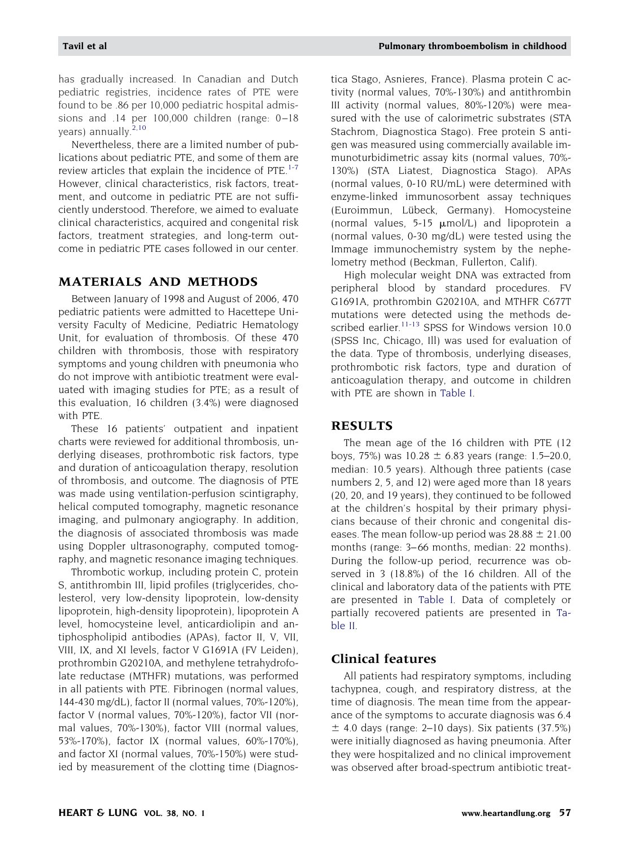has gradually increased. In Canadian and Dutch pediatric registries, incidence rates of PTE were found to be .86 per 10,000 pediatric hospital admissions and .14 per 100,000 children (range: 0–18 years) annually.<sup>[2,10](#page-9-0)</sup>

Nevertheless, there are a limited number of publications about pediatric PTE, and some of them are review articles that explain the incidence of PTE.<sup>1-7</sup> However, clinical characteristics, risk factors, treatment, and outcome in pediatric PTE are not sufficiently understood. Therefore, we aimed to evaluate clinical characteristics, acquired and congenital risk factors, treatment strategies, and long-term outcome in pediatric PTE cases followed in our center.

# **MATERIALS AND METHODS**

Between January of 1998 and August of 2006, 470 pediatric patients were admitted to Hacettepe University Faculty of Medicine, Pediatric Hematology Unit, for evaluation of thrombosis. Of these 470 children with thrombosis, those with respiratory symptoms and young children with pneumonia who do not improve with antibiotic treatment were evaluated with imaging studies for PTE; as a result of this evaluation, 16 children (3.4%) were diagnosed with PTE.

These 16 patients' outpatient and inpatient charts were reviewed for additional thrombosis, underlying diseases, prothrombotic risk factors, type and duration of anticoagulation therapy, resolution of thrombosis, and outcome. The diagnosis of PTE was made using ventilation-perfusion scintigraphy, helical computed tomography, magnetic resonance imaging, and pulmonary angiography. In addition, the diagnosis of associated thrombosis was made using Doppler ultrasonography, computed tomography, and magnetic resonance imaging techniques.

Thrombotic workup, including protein C, protein S, antithrombin III, lipid profiles (triglycerides, cholesterol, very low-density lipoprotein, low-density lipoprotein, high-density lipoprotein), lipoprotein A level, homocysteine level, anticardiolipin and antiphospholipid antibodies (APAs), factor II, V, VII, VIII, IX, and XI levels, factor V G1691A (FV Leiden), prothrombin G20210A, and methylene tetrahydrofolate reductase (MTHFR) mutations, was performed in all patients with PTE. Fibrinogen (normal values, 144-430 mg/dL), factor II (normal values, 70%-120%), factor V (normal values, 70%-120%), factor VII (normal values, 70%-130%), factor VIII (normal values, 53%-170%), factor IX (normal values, 60%-170%), and factor XI (normal values, 70%-150%) were studied by measurement of the clotting time (Diagnostica Stago, Asnieres, France). Plasma protein C activity (normal values, 70%-130%) and antithrombin III activity (normal values, 80%-120%) were measured with the use of calorimetric substrates (STA Stachrom, Diagnostica Stago). Free protein S antigen was measured using commercially available immunoturbidimetric assay kits (normal values, 70%- 130%) (STA Liatest, Diagnostica Stago). APAs (normal values, 0-10 RU/mL) were determined with enzyme-linked immunosorbent assay techniques (Euroimmun, Lübeck, Germany). Homocysteine (normal values,  $5-15 \mu$ mol/L) and lipoprotein a (normal values, 0-30 mg/dL) were tested using the Immage immunochemistry system by the nephelometry method (Beckman, Fullerton, Calif).

High molecular weight DNA was extracted from peripheral blood by standard procedures. FV G1691A, prothrombin G20210A, and MTHFR C677T mutations were detected using the methods de-scribed earlier.<sup>[11-13](#page-9-0)</sup> SPSS for Windows version 10.0 (SPSS Inc, Chicago, Ill) was used for evaluation of the data. Type of thrombosis, underlying diseases, prothrombotic risk factors, type and duration of anticoagulation therapy, and outcome in children with PTE are shown in [Table I.](#page-2-0)

### **RESULTS**

The mean age of the 16 children with PTE (12 boys, 75%) was  $10.28 \pm 6.83$  years (range: 1.5–20.0, median: 10.5 years). Although three patients (case numbers 2, 5, and 12) were aged more than 18 years (20, 20, and 19 years), they continued to be followed at the children's hospital by their primary physicians because of their chronic and congenital diseases. The mean follow-up period was  $28.88 \pm 21.00$ months (range: 3–66 months, median: 22 months). During the follow-up period, recurrence was observed in 3 (18.8%) of the 16 children. All of the clinical and laboratory data of the patients with PTE are presented in [Table I.](#page-2-0) Data of completely or partially recovered patients are presented in [Ta](#page-5-0)[ble II.](#page-5-0)

# **Clinical features**

All patients had respiratory symptoms, including tachypnea, cough, and respiratory distress, at the time of diagnosis. The mean time from the appearance of the symptoms to accurate diagnosis was 6.4  $\pm$  4.0 days (range: 2–10 days). Six patients (37.5%) were initially diagnosed as having pneumonia. After they were hospitalized and no clinical improvement was observed after broad-spectrum antibiotic treat-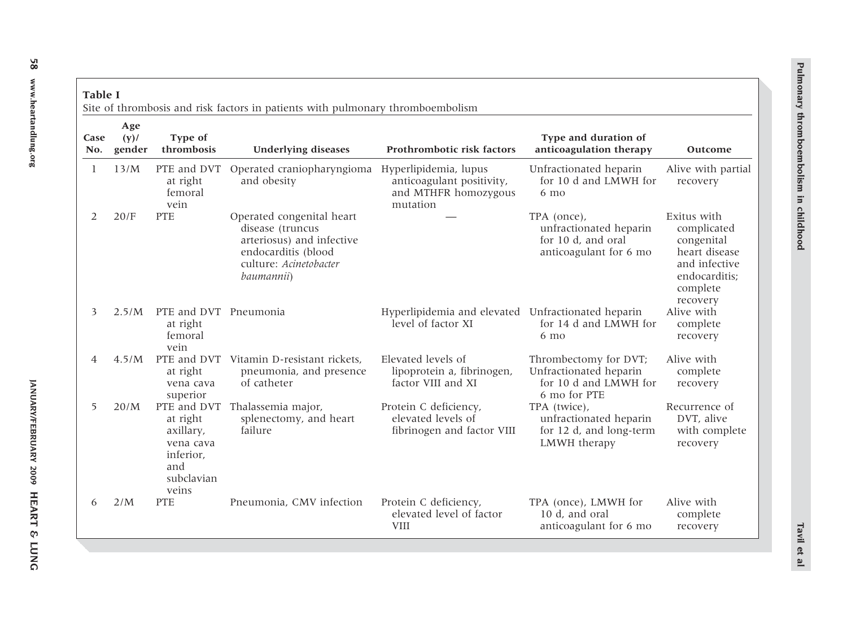| <b>THE REAL PROPERTY</b>  |
|---------------------------|
| <b>Thromboembolism in</b> |
|                           |
| <u>יייידוראווור</u>       |

<span id="page-2-0"></span>

| <b>Table I</b><br>Site of thrombosis and risk factors in patients with pulmonary thromboembolism |                          |                                                                                              |                                                                                                                                           |                                                                           |                                                                                          |                                                                                                                     |
|--------------------------------------------------------------------------------------------------|--------------------------|----------------------------------------------------------------------------------------------|-------------------------------------------------------------------------------------------------------------------------------------------|---------------------------------------------------------------------------|------------------------------------------------------------------------------------------|---------------------------------------------------------------------------------------------------------------------|
| Case<br>No.                                                                                      | Age<br>$(y)$ /<br>gender | Type of<br>thrombosis                                                                        | <b>Underlying diseases</b>                                                                                                                | Prothrombotic risk factors                                                | Type and duration of<br>anticoagulation therapy                                          | Outcome                                                                                                             |
| 1                                                                                                | 13/M                     | PTE and DVT<br>at right<br>femoral<br>vein                                                   | Operated craniopharyngioma Hyperlipidemia, lupus<br>and obesity                                                                           | anticoagulant positivity,<br>and MTHFR homozygous<br>mutation             | Unfractionated heparin<br>for 10 d and LMWH for<br>$6 \text{ mo}$                        | Alive with partial<br>recovery                                                                                      |
| 2                                                                                                | 20/F                     | <b>PTE</b>                                                                                   | Operated congenital heart<br>disease (truncus<br>arteriosus) and infective<br>endocarditis (blood<br>culture: Acinetobacter<br>baumannii) |                                                                           | TPA (once),<br>unfractionated heparin<br>for 10 d, and oral<br>anticoagulant for 6 mo    | Exitus with<br>complicated<br>congenital<br>heart disease<br>and infective<br>endocarditis;<br>complete<br>recovery |
| 3                                                                                                | 2.5/M                    | PTE and DVT Pneumonia<br>at right<br>femoral<br>vein                                         |                                                                                                                                           | Hyperlipidemia and elevated Unfractionated heparin<br>level of factor XI  | for 14 d and LMWH for<br>$6 \text{ mo}$                                                  | Alive with<br>complete<br>recovery                                                                                  |
| 4                                                                                                | 4.5/M                    | at right<br>vena cava<br>superior                                                            | PTE and DVT Vitamin D-resistant rickets,<br>pneumonia, and presence<br>of catheter                                                        | Elevated levels of<br>lipoprotein a, fibrinogen,<br>factor VIII and XI    | Thrombectomy for DVT;<br>Unfractionated heparin<br>for 10 d and LMWH for<br>6 mo for PTE | Alive with<br>complete<br>recovery                                                                                  |
| 5                                                                                                | 20/M                     | PTE and DVT<br>at right<br>axillary,<br>vena cava<br>inferior,<br>and<br>subclavian<br>veins | Thalassemia major,<br>splenectomy, and heart<br>failure                                                                                   | Protein C deficiency,<br>elevated levels of<br>fibrinogen and factor VIII | TPA (twice),<br>unfractionated heparin<br>for 12 d, and long-term<br>LMWH therapy        | Recurrence of<br>DVT, alive<br>with complete<br>recovery                                                            |
| 6                                                                                                | 2/M                      | <b>PTE</b>                                                                                   | Pneumonia, CMV infection                                                                                                                  | Protein C deficiency,<br>elevated level of factor<br><b>VIII</b>          | TPA (once), LMWH for<br>10 d, and oral<br>anticoagulant for 6 mo                         | Alive with<br>complete<br>recovery                                                                                  |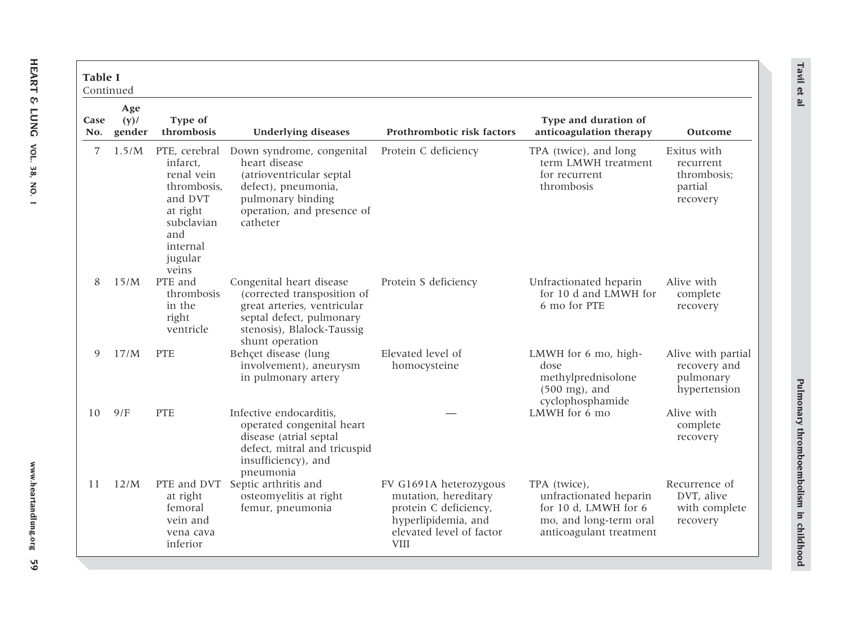| <b>Table I</b><br>Continued |                          |                                                                                                                                    |                                                                                                                                                                     |                                                                                                                                           |                                                                                                                     |                                                                 |
|-----------------------------|--------------------------|------------------------------------------------------------------------------------------------------------------------------------|---------------------------------------------------------------------------------------------------------------------------------------------------------------------|-------------------------------------------------------------------------------------------------------------------------------------------|---------------------------------------------------------------------------------------------------------------------|-----------------------------------------------------------------|
| Case<br>No.                 | Age<br>$(y)$ /<br>gender | Type of<br>thrombosis                                                                                                              | <b>Underlying diseases</b>                                                                                                                                          | Prothrombotic risk factors                                                                                                                | Type and duration of<br>anticoagulation therapy                                                                     | Outcome                                                         |
| 7                           | 1.5/M                    | PTE, cerebral<br>infarct.<br>renal vein<br>thrombosis.<br>and DVT<br>at right<br>subclavian<br>and<br>internal<br>jugular<br>veins | Down syndrome, congenital<br>heart disease<br>(atrioventricular septal<br>defect), pneumonia,<br>pulmonary binding<br>operation, and presence of<br>catheter        | Protein C deficiency                                                                                                                      | TPA (twice), and long<br>term LMWH treatment<br>for recurrent<br>thrombosis                                         | Exitus with<br>recurrent<br>thrombosis;<br>partial<br>recovery  |
| 8                           | 15/M                     | PTE and<br>thrombosis<br>in the<br>right<br>ventricle                                                                              | Congenital heart disease<br>(corrected transposition of<br>great arteries, ventricular<br>septal defect, pulmonary<br>stenosis), Blalock-Taussig<br>shunt operation | Protein S deficiency                                                                                                                      | Unfractionated heparin<br>for 10 d and LMWH for<br>6 mo for PTE                                                     | Alive with<br>complete<br>recovery                              |
| 9                           | 17/M                     | <b>PTE</b>                                                                                                                         | Behçet disease (lung<br>involvement), aneurysm<br>in pulmonary artery                                                                                               | Elevated level of<br>homocysteine                                                                                                         | LMWH for 6 mo, high-<br>dose<br>methylprednisolone<br>$(500 \text{ mg})$ , and<br>cyclophosphamide                  | Alive with partial<br>recovery and<br>pulmonary<br>hypertension |
| 10                          | 9/F                      | <b>PTE</b>                                                                                                                         | Infective endocarditis,<br>operated congenital heart<br>disease (atrial septal<br>defect, mitral and tricuspid<br>insufficiency), and<br>pneumonia                  |                                                                                                                                           | LMWH for 6 mo                                                                                                       | Alive with<br>complete<br>recovery                              |
| 11                          | 12/M                     | PTE and DVT<br>at right<br>femoral<br>vein and<br>vena cava<br>inferior                                                            | Septic arthritis and<br>osteomyelitis at right<br>femur, pneumonia                                                                                                  | FV G1691A heterozygous<br>mutation, hereditary<br>protein C deficiency,<br>hyperlipidemia, and<br>elevated level of factor<br><b>VIII</b> | TPA (twice),<br>unfractionated heparin<br>for 10 d, LMWH for 6<br>mo, and long-term oral<br>anticoagulant treatment | Recurrence of<br>DVT, alive<br>with complete<br>recovery        |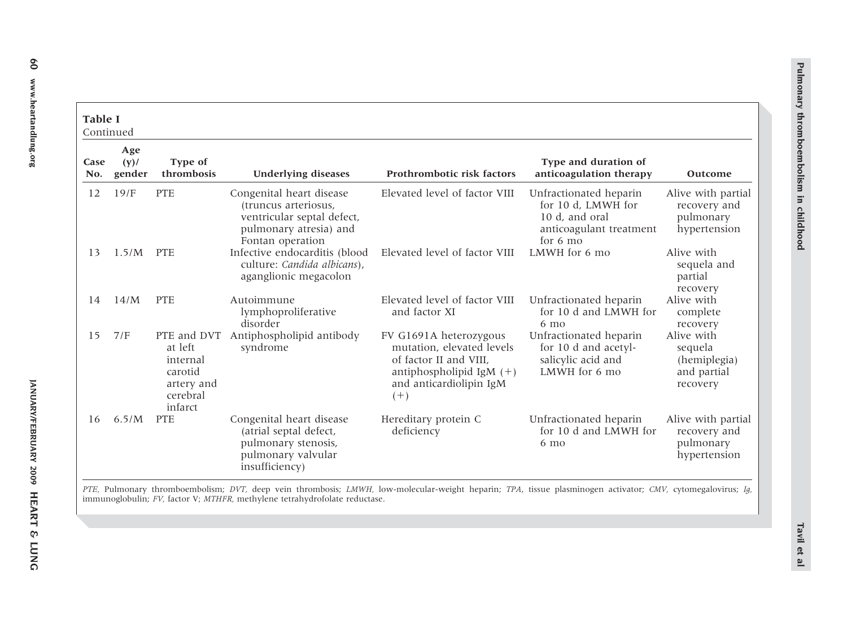| Table I<br>Continued |                          |                                                                                    |                                                                                                                              |                                                                                                                                                 |                                                                                                       |                                                                  |
|----------------------|--------------------------|------------------------------------------------------------------------------------|------------------------------------------------------------------------------------------------------------------------------|-------------------------------------------------------------------------------------------------------------------------------------------------|-------------------------------------------------------------------------------------------------------|------------------------------------------------------------------|
| Case<br>No.          | Age<br>$(y)$ /<br>gender | Type of<br>thrombosis                                                              | <b>Underlying diseases</b>                                                                                                   | Prothrombotic risk factors                                                                                                                      | Type and duration of<br>anticoagulation therapy                                                       | Outcome                                                          |
| 12                   | 19/F                     | <b>PTE</b>                                                                         | Congenital heart disease<br>(truncus arteriosus,<br>ventricular septal defect,<br>pulmonary atresia) and<br>Fontan operation | Elevated level of factor VIII                                                                                                                   | Unfractionated heparin<br>for 10 d, LMWH for<br>10 d, and oral<br>anticoagulant treatment<br>for 6 mo | Alive with partial<br>recovery and<br>pulmonary<br>hypertension  |
| 13                   | 1.5/M                    | <b>PTE</b>                                                                         | Infective endocarditis (blood<br>culture: Candida albicans),<br>aganglionic megacolon                                        | Elevated level of factor VIII                                                                                                                   | LMWH for 6 mo                                                                                         | Alive with<br>sequela and<br>partial<br>recovery                 |
| 14                   | 14/M                     | <b>PTE</b>                                                                         | Autoimmune<br>lymphoproliferative<br>disorder                                                                                | Elevated level of factor VIII<br>and factor XI                                                                                                  | Unfractionated heparin<br>for 10 d and LMWH for<br>$6 \text{ mo}$                                     | Alive with<br>complete<br>recovery                               |
| 15                   | 7/F                      | PTE and DVT<br>at left<br>internal<br>carotid<br>artery and<br>cerebral<br>infarct | Antiphospholipid antibody<br>syndrome                                                                                        | FV G1691A heterozygous<br>mutation, elevated levels<br>of factor II and VIII,<br>antiphospholipid IgM $(+)$<br>and anticardiolipin IgM<br>$(+)$ | Unfractionated heparin<br>for 10 d and acetyl-<br>salicylic acid and<br>LMWH for 6 mo                 | Alive with<br>sequela<br>(hemiplegia)<br>and partial<br>recovery |
| 16                   | 6.5/M                    | <b>PTE</b>                                                                         | Congenital heart disease<br>(atrial septal defect,<br>pulmonary stenosis,<br>pulmonary valvular<br>insufficiency)            | Hereditary protein C<br>deficiency                                                                                                              | Unfractionated heparin<br>for 10 d and LMWH for<br>6 mo                                               | Alive with partial<br>recovery and<br>pulmonary<br>hypertension  |

*PTE,* Pulmonary thromboembolism; *DVT,* deep vein thrombosis; *LMWH,* low-molecular-weight heparin; *TPA*, tissue plasminogen activator; *CMV,* cytomegalovirus; *Ig,* immunoglobulin; *FV,* factor V; *MTHFR,* methylene tetrahydrofolate reductase.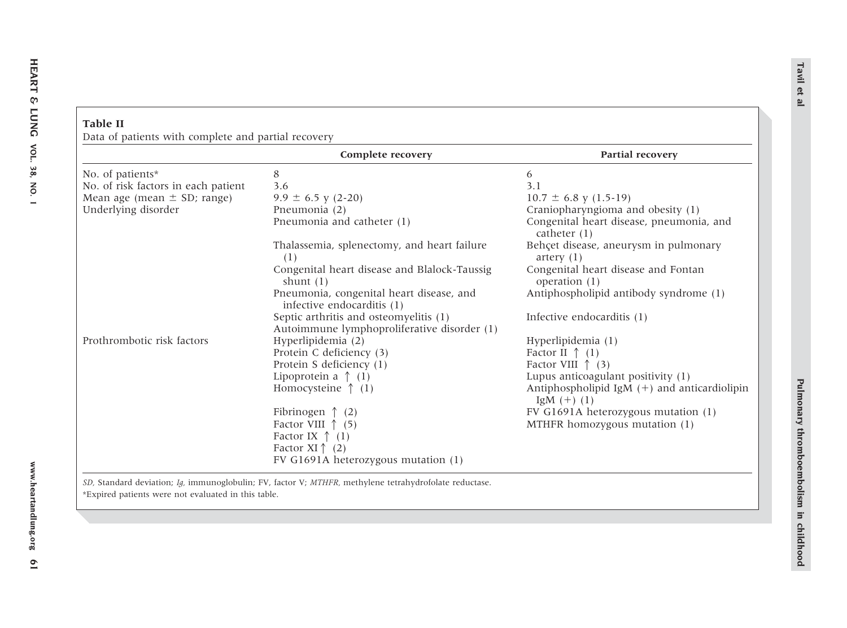| Data of patients with complete and partial recovery |                                                                                       |                                                                         |
|-----------------------------------------------------|---------------------------------------------------------------------------------------|-------------------------------------------------------------------------|
|                                                     | Complete recovery                                                                     | Partial recovery                                                        |
| No. of patients*                                    | 8                                                                                     | 6                                                                       |
| No. of risk factors in each patient                 | 3.6                                                                                   | 3.1                                                                     |
| Mean age (mean $\pm$ SD; range)                     | $9.9 \pm 6.5$ y (2-20)                                                                | $10.7 \pm 6.8$ y (1.5-19)                                               |
| Underlying disorder                                 | Pneumonia (2)                                                                         | Craniopharyngioma and obesity (1)                                       |
|                                                     | Pneumonia and catheter (1)                                                            | Congenital heart disease, pneumonia, and<br>catheter $(1)$              |
|                                                     | Thalassemia, splenectomy, and heart failure<br>(1)                                    | Behçet disease, aneurysm in pulmonary<br>artery $(1)$                   |
|                                                     | Congenital heart disease and Blalock-Taussig<br>shunt $(1)$                           | Congenital heart disease and Fontan<br>operation $(1)$                  |
|                                                     | Pneumonia, congenital heart disease, and<br>infective endocarditis (1)                | Antiphospholipid antibody syndrome (1)                                  |
|                                                     | Septic arthritis and osteomyelitis (1)<br>Autoimmune lymphoproliferative disorder (1) | Infective endocarditis (1)                                              |
| Prothrombotic risk factors                          | Hyperlipidemia (2)                                                                    | Hyperlipidemia (1)                                                      |
|                                                     | Protein C deficiency (3)                                                              | Factor II $\uparrow$ (1)                                                |
|                                                     | Protein S deficiency (1)                                                              | Factor VIII $\uparrow$ (3)                                              |
|                                                     | Lipoprotein a $\uparrow$ (1)                                                          | Lupus anticoagulant positivity (1)                                      |
|                                                     | Homocysteine $\uparrow$ (1)                                                           | Antiphospholipid IgM $(+)$ and anticardiolipin<br>$\text{IgM } (+) (1)$ |
|                                                     | Fibrinogen $\uparrow$ (2)                                                             | FV G1691A heterozygous mutation (1)                                     |
|                                                     | Factor VIII $\uparrow$ (5)                                                            | MTHFR homozygous mutation (1)                                           |
|                                                     | Factor IX $\uparrow$ (1)                                                              |                                                                         |
|                                                     | Factor XI $\uparrow$ (2)                                                              |                                                                         |
|                                                     | FV G1691A heterozygous mutation (1)                                                   |                                                                         |

<span id="page-5-0"></span>**Table II**

Data of patients with complete and partial recovery

*SD,* Standard deviation; *Ig,* immunoglobulin; FV, factor V; *MTHFR,* methylene tetrahydrofolate reductase. \*Expired patients were not evaluated in this table.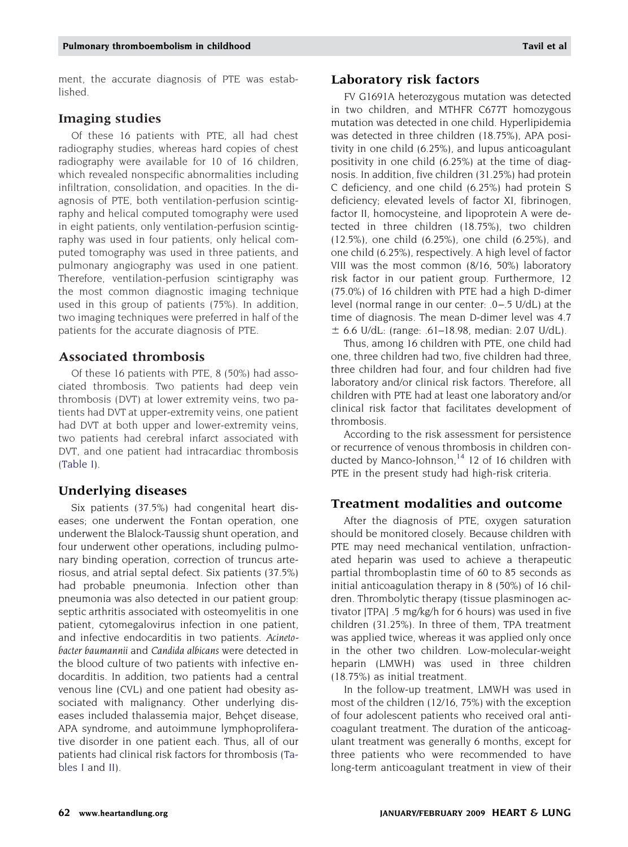ment, the accurate diagnosis of PTE was established.

#### **Imaging studies**

Of these 16 patients with PTE, all had chest radiography studies, whereas hard copies of chest radiography were available for 10 of 16 children, which revealed nonspecific abnormalities including infiltration, consolidation, and opacities. In the diagnosis of PTE, both ventilation-perfusion scintigraphy and helical computed tomography were used in eight patients, only ventilation-perfusion scintigraphy was used in four patients, only helical computed tomography was used in three patients, and pulmonary angiography was used in one patient. Therefore, ventilation-perfusion scintigraphy was the most common diagnostic imaging technique used in this group of patients (75%). In addition, two imaging techniques were preferred in half of the patients for the accurate diagnosis of PTE.

# **Associated thrombosis**

Of these 16 patients with PTE, 8 (50%) had associated thrombosis. Two patients had deep vein thrombosis (DVT) at lower extremity veins, two patients had DVT at upper-extremity veins, one patient had DVT at both upper and lower-extremity veins, two patients had cerebral infarct associated with DVT, and one patient had intracardiac thrombosis [\(Table I\)](#page-2-0).

#### **Underlying diseases**

Six patients (37.5%) had congenital heart diseases; one underwent the Fontan operation, one underwent the Blalock-Taussig shunt operation, and four underwent other operations, including pulmonary binding operation, correction of truncus arteriosus, and atrial septal defect. Six patients (37.5%) had probable pneumonia. Infection other than pneumonia was also detected in our patient group: septic arthritis associated with osteomyelitis in one patient, cytomegalovirus infection in one patient, and infective endocarditis in two patients. *<sup>A</sup>cinetobacter baumannii* and *<sup>C</sup>andida albicans* were detected in the blood culture of two patients with infective endocarditis. In addition, two patients had a central venous line (CVL) and one patient had obesity associated with malignancy. Other underlying diseases included thalassemia major, Behçet disease, APA syndrome, and autoimmune lymphoproliferative disorder in one patient each. Thus, all of our patients had clinical risk factors for thrombosis [\(Ta](#page-2-0)[bles I](#page-2-0) and [II\)](#page-5-0).

### **Laboratory risk factors**

FV G1691A heterozygous mutation was detected in two children, and MTHFR C677T homozygous mutation was detected in one child. Hyperlipidemia was detected in three children (18.75%), APA positivity in one child (6.25%), and lupus anticoagulant positivity in one child (6.25%) at the time of diagnosis. In addition, five children (31.25%) had protein C deficiency, and one child (6.25%) had protein S deficiency; elevated levels of factor XI, fibrinogen, factor II, homocysteine, and lipoprotein A were detected in three children (18.75%), two children (12.5%), one child (6.25%), one child (6.25%), and one child (6.25%), respectively. A high level of factor VIII was the most common (8/16, 50%) laboratory risk factor in our patient group. Furthermore, 12 (75.0%) of 16 children with PTE had a high D-dimer level (normal range in our center: .0–.5 U/dL) at the time of diagnosis. The mean D-dimer level was 4.7  $\pm$  6.6 U/dL: (range: .61–18.98, median: 2.07 U/dL).

Thus, among 16 children with PTE, one child had one, three children had two, five children had three, three children had four, and four children had five laboratory and/or clinical risk factors. Therefore, all children with PTE had at least one laboratory and/or clinical risk factor that facilitates development of thrombosis.

According to the risk assessment for persistence or recurrence of venous thrombosis in children conducted by Manco-Johnson, $14$  12 of 16 children with PTE in the present study had high-risk criteria.

#### **Treatment modalities and outcome**

After the diagnosis of PTE, oxygen saturation should be monitored closely. Because children with PTE may need mechanical ventilation, unfractionated heparin was used to achieve a therapeutic partial thromboplastin time of 60 to 85 seconds as initial anticoagulation therapy in 8 (50%) of 16 children. Thrombolytic therapy (tissue plasminogen activator [TPA] .5 mg/kg/h for 6 hours) was used in five children (31.25%). In three of them, TPA treatment was applied twice, whereas it was applied only once in the other two children. Low-molecular-weight heparin (LMWH) was used in three children (18.75%) as initial treatment.

In the follow-up treatment, LMWH was used in most of the children (12/16, 75%) with the exception of four adolescent patients who received oral anticoagulant treatment. The duration of the anticoagulant treatment was generally 6 months, except for three patients who were recommended to have long-term anticoagulant treatment in view of their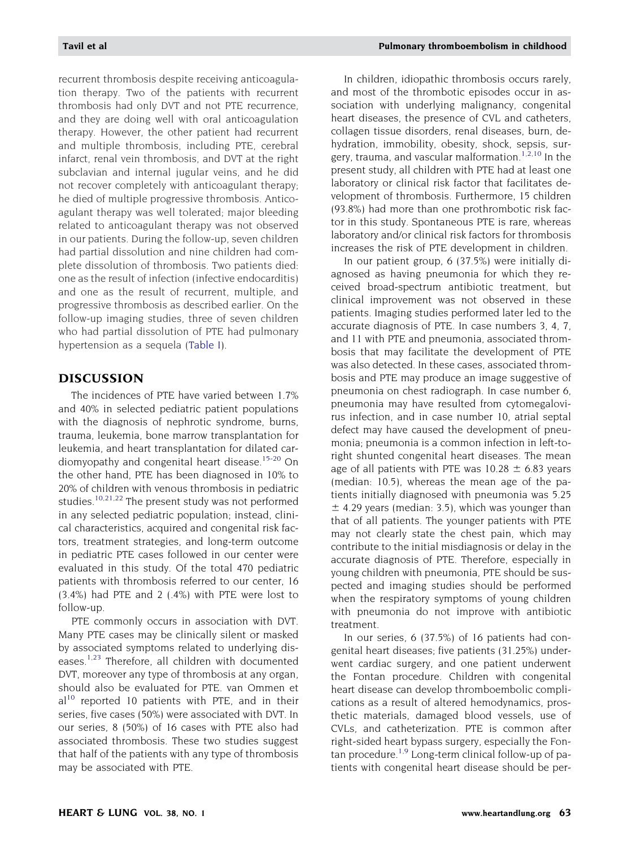recurrent thrombosis despite receiving anticoagulation therapy. Two of the patients with recurrent thrombosis had only DVT and not PTE recurrence, and they are doing well with oral anticoagulation therapy. However, the other patient had recurrent and multiple thrombosis, including PTE, cerebral infarct, renal vein thrombosis, and DVT at the right subclavian and internal jugular veins, and he did not recover completely with anticoagulant therapy; he died of multiple progressive thrombosis. Anticoagulant therapy was well tolerated; major bleeding related to anticoagulant therapy was not observed in our patients. During the follow-up, seven children had partial dissolution and nine children had complete dissolution of thrombosis. Two patients died: one as the result of infection (infective endocarditis) and one as the result of recurrent, multiple, and progressive thrombosis as described earlier. On the follow-up imaging studies, three of seven children who had partial dissolution of PTE had pulmonary hypertension as a sequela [\(Table I\)](#page-2-0).

#### **DISCUSSION**

The incidences of PTE have varied between 1.7% and 40% in selected pediatric patient populations with the diagnosis of nephrotic syndrome, burns, trauma, leukemia, bone marrow transplantation for leukemia, and heart transplantation for dilated car-diomyopathy and congenital heart disease.<sup>[15-20](#page-9-0)</sup> On the other hand, PTE has been diagnosed in 10% to 20% of children with venous thrombosis in pediatric studies[.10,21,22](#page-9-0) The present study was not performed in any selected pediatric population; instead, clinical characteristics, acquired and congenital risk factors, treatment strategies, and long-term outcome in pediatric PTE cases followed in our center were evaluated in this study. Of the total 470 pediatric patients with thrombosis referred to our center, 16 (3.4%) had PTE and 2 (.4%) with PTE were lost to follow-up.

PTE commonly occurs in association with DVT. Many PTE cases may be clinically silent or masked by associated symptoms related to underlying dis-eases.<sup>[1,23](#page-9-0)</sup> Therefore, all children with documented DVT, moreover any type of thrombosis at any organ, should also be evaluated for PTE. van Ommen et  $al^{10}$  $al^{10}$  $al^{10}$  reported 10 patients with PTE, and in their series, five cases (50%) were associated with DVT. In our series, 8 (50%) of 16 cases with PTE also had associated thrombosis. These two studies suggest that half of the patients with any type of thrombosis may be associated with PTE.

In children, idiopathic thrombosis occurs rarely, and most of the thrombotic episodes occur in association with underlying malignancy, congenital heart diseases, the presence of CVL and catheters, collagen tissue disorders, renal diseases, burn, dehydration, immobility, obesity, shock, sepsis, surgery, trauma, and vascular malformation.<sup>1,2,10</sup> In the present study, all children with PTE had at least one laboratory or clinical risk factor that facilitates development of thrombosis. Furthermore, 15 children (93.8%) had more than one prothrombotic risk factor in this study. Spontaneous PTE is rare, whereas laboratory and/or clinical risk factors for thrombosis increases the risk of PTE development in children.

In our patient group, 6 (37.5%) were initially diagnosed as having pneumonia for which they received broad-spectrum antibiotic treatment, but clinical improvement was not observed in these patients. Imaging studies performed later led to the accurate diagnosis of PTE. In case numbers 3, 4, 7, and 11 with PTE and pneumonia, associated thrombosis that may facilitate the development of PTE was also detected. In these cases, associated thrombosis and PTE may produce an image suggestive of pneumonia on chest radiograph. In case number 6, pneumonia may have resulted from cytomegalovirus infection, and in case number 10, atrial septal defect may have caused the development of pneumonia; pneumonia is a common infection in left-toright shunted congenital heart diseases. The mean age of all patients with PTE was  $10.28 \pm 6.83$  years (median: 10.5), whereas the mean age of the patients initially diagnosed with pneumonia was 5.25  $\pm$  4.29 years (median: 3.5), which was younger than that of all patients. The younger patients with PTE may not clearly state the chest pain, which may contribute to the initial misdiagnosis or delay in the accurate diagnosis of PTE. Therefore, especially in young children with pneumonia, PTE should be suspected and imaging studies should be performed when the respiratory symptoms of young children with pneumonia do not improve with antibiotic treatment.

In our series, 6 (37.5%) of 16 patients had congenital heart diseases; five patients (31.25%) underwent cardiac surgery, and one patient underwent the Fontan procedure. Children with congenital heart disease can develop thromboembolic complications as a result of altered hemodynamics, prosthetic materials, damaged blood vessels, use of CVLs, and catheterization. PTE is common after right-sided heart bypass surgery, especially the Fontan procedure.<sup>1,9</sup> Long-term clinical follow-up of patients with congenital heart disease should be per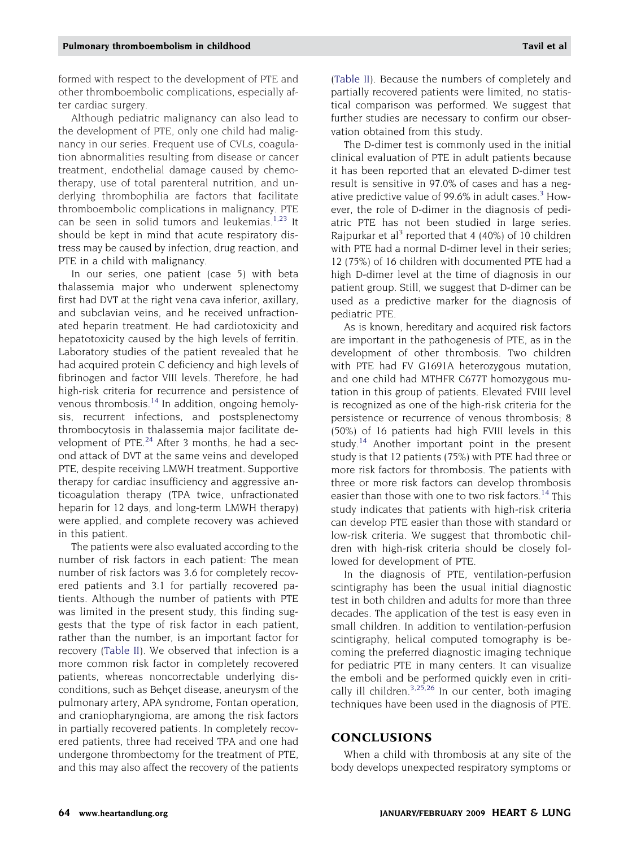formed with respect to the development of PTE and other thromboembolic complications, especially after cardiac surgery.

Although pediatric malignancy can also lead to the development of PTE, only one child had malignancy in our series. Frequent use of CVLs, coagulation abnormalities resulting from disease or cancer treatment, endothelial damage caused by chemotherapy, use of total parenteral nutrition, and underlying thrombophilia are factors that facilitate thromboembolic complications in malignancy. PTE can be seen in solid tumors and leukemias.<sup>[1,23](#page-9-0)</sup> It should be kept in mind that acute respiratory distress may be caused by infection, drug reaction, and PTE in a child with malignancy.

In our series, one patient (case 5) with beta thalassemia major who underwent splenectomy first had DVT at the right vena cava inferior, axillary, and subclavian veins, and he received unfractionated heparin treatment. He had cardiotoxicity and hepatotoxicity caused by the high levels of ferritin. Laboratory studies of the patient revealed that he had acquired protein C deficiency and high levels of fibrinogen and factor VIII levels. Therefore, he had high-risk criteria for recurrence and persistence of venous thrombosis.<sup>14</sup> In addition, ongoing hemolysis, recurrent infections, and postsplenectomy thrombocytosis in thalassemia major facilitate development of PTE.<sup>24</sup> After 3 months, he had a second attack of DVT at the same veins and developed PTE, despite receiving LMWH treatment. Supportive therapy for cardiac insufficiency and aggressive anticoagulation therapy (TPA twice, unfractionated heparin for 12 days, and long-term LMWH therapy) were applied, and complete recovery was achieved in this patient.

The patients were also evaluated according to the number of risk factors in each patient: The mean number of risk factors was 3.6 for completely recovered patients and 3.1 for partially recovered patients. Although the number of patients with PTE was limited in the present study, this finding suggests that the type of risk factor in each patient, rather than the number, is an important factor for recovery [\(Table II\)](#page-5-0). We observed that infection is a more common risk factor in completely recovered patients, whereas noncorrectable underlying disconditions, such as Behçet disease, aneurysm of the pulmonary artery, APA syndrome, Fontan operation, and craniopharyngioma, are among the risk factors in partially recovered patients. In completely recovered patients, three had received TPA and one had undergone thrombectomy for the treatment of PTE, and this may also affect the recovery of the patients

[\(Table II\)](#page-5-0). Because the numbers of completely and partially recovered patients were limited, no statistical comparison was performed. We suggest that further studies are necessary to confirm our observation obtained from this study.

The D-dimer test is commonly used in the initial clinical evaluation of PTE in adult patients because it has been reported that an elevated D-dimer test result is sensitive in 97.0% of cases and has a neg-ative predictive value of 99.6% in adult cases.<sup>[3](#page-9-0)</sup> However, the role of D-dimer in the diagnosis of pediatric PTE has not been studied in large series. Rajpurkar et al<sup>3</sup> reported that 4 (40%) of 10 children with PTE had a normal D-dimer level in their series; 12 (75%) of 16 children with documented PTE had a high D-dimer level at the time of diagnosis in our patient group. Still, we suggest that D-dimer can be used as a predictive marker for the diagnosis of pediatric PTE.

As is known, hereditary and acquired risk factors are important in the pathogenesis of PTE, as in the development of other thrombosis. Two children with PTE had FV G1691A heterozygous mutation, and one child had MTHFR C677T homozygous mutation in this group of patients. Elevated FVIII level is recognized as one of the high-risk criteria for the persistence or recurrence of venous thrombosis; 8 (50%) of 16 patients had high FVIII levels in this study.[14](#page-9-0) Another important point in the present study is that 12 patients (75%) with PTE had three or more risk factors for thrombosis. The patients with three or more risk factors can develop thrombosis easier than those with one to two risk factors.<sup>[14](#page-9-0)</sup> This study indicates that patients with high-risk criteria can develop PTE easier than those with standard or low-risk criteria. We suggest that thrombotic children with high-risk criteria should be closely followed for development of PTE.

In the diagnosis of PTE, ventilation-perfusion scintigraphy has been the usual initial diagnostic test in both children and adults for more than three decades. The application of the test is easy even in small children. In addition to ventilation-perfusion scintigraphy, helical computed tomography is becoming the preferred diagnostic imaging technique for pediatric PTE in many centers. It can visualize the emboli and be performed quickly even in criti-cally ill children.<sup>[3,25,26](#page-9-0)</sup> In our center, both imaging techniques have been used in the diagnosis of PTE.

#### **CONCLUSIONS**

When a child with thrombosis at any site of the body develops unexpected respiratory symptoms or